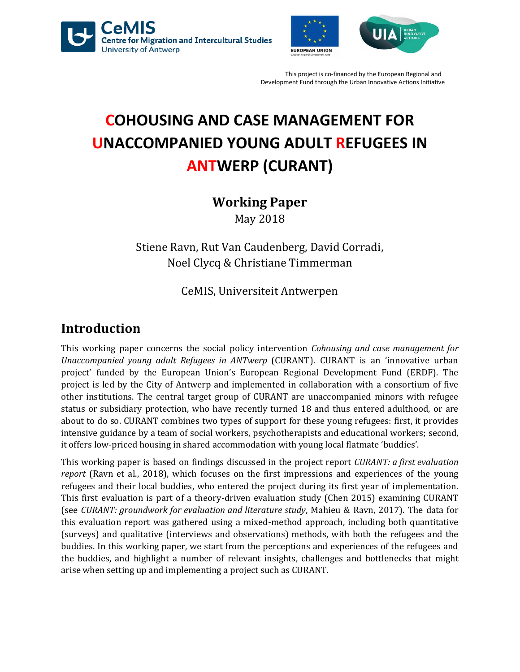





# **COHOUSING AND CASE MANAGEMENT FOR UNACCOMPANIED YOUNG ADULT REFUGEES IN ANTWERP (CURANT)**

### **Working Paper**

May 2018

Stiene Ravn, Rut Van Caudenberg, David Corradi, Noel Clycq & Christiane Timmerman

### CeMIS, Universiteit Antwerpen

### **Introduction**

This working paper concerns the social policy intervention *Cohousing and case management for Unaccompanied young adult Refugees in ANTwerp* (CURANT). CURANT is an 'innovative urban project' funded by the European Union's European Regional Development Fund (ERDF). The project is led by the City of Antwerp and implemented in collaboration with a consortium of five other institutions. The central target group of CURANT are unaccompanied minors with refugee status or subsidiary protection, who have recently turned 18 and thus entered adulthood, or are about to do so. CURANT combines two types of support for these young refugees: first, it provides intensive guidance by a team of social workers, psychotherapists and educational workers; second, it offers low-priced housing in shared accommodation with young local flatmate 'buddies'.

This working paper is based on findings discussed in the project report *CURANT: a first evaluation report* (Ravn et al., 2018), which focuses on the first impressions and experiences of the young refugees and their local buddies, who entered the project during its first year of implementation. This first evaluation is part of a theory-driven evaluation study (Chen 2015) examining CURANT (see *CURANT: groundwork for evaluation and literature study*, Mahieu & Ravn, 2017). The data for this evaluation report was gathered using a mixed-method approach, including both quantitative (surveys) and qualitative (interviews and observations) methods, with both the refugees and the buddies. In this working paper, we start from the perceptions and experiences of the refugees and the buddies, and highlight a number of relevant insights, challenges and bottlenecks that might arise when setting up and implementing a project such as CURANT.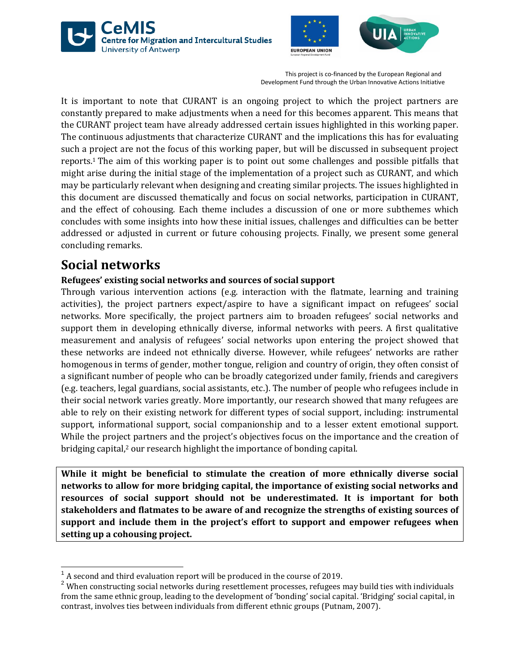





It is important to note that CURANT is an ongoing project to which the project partners are constantly prepared to make adjustments when a need for this becomes apparent. This means that the CURANT project team have already addressed certain issues highlighted in this working paper. The continuous adjustments that characterize CURANT and the implications this has for evaluating such a project are not the focus of this working paper, but will be discussed in subsequent project reports. <sup>1</sup> The aim of this working paper is to point out some challenges and possible pitfalls that might arise during the initial stage of the implementation of a project such as CURANT, and which may be particularly relevant when designing and creating similar projects. The issues highlighted in this document are discussed thematically and focus on social networks, participation in CURANT, and the effect of cohousing. Each theme includes a discussion of one or more subthemes which concludes with some insights into how these initial issues, challenges and difficulties can be better addressed or adjusted in current or future cohousing projects. Finally, we present some general concluding remarks.

### **Social networks**

 $\overline{a}$ 

#### **Refugees' existing social networks and sources of social support**

Through various intervention actions (e.g. interaction with the flatmate, learning and training activities), the project partners expect/aspire to have a significant impact on refugees' social networks. More specifically, the project partners aim to broaden refugees' social networks and support them in developing ethnically diverse, informal networks with peers. A first qualitative measurement and analysis of refugees' social networks upon entering the project showed that these networks are indeed not ethnically diverse. However, while refugees' networks are rather homogenous in terms of gender, mother tongue, religion and country of origin, they often consist of a significant number of people who can be broadly categorized under family, friends and caregivers (e.g. teachers, legal guardians, social assistants, etc.). The number of people who refugees include in their social network varies greatly. More importantly, our research showed that many refugees are able to rely on their existing network for different types of social support, including: instrumental support, informational support, social companionship and to a lesser extent emotional support. While the project partners and the project's objectives focus on the importance and the creation of bridging capital, <sup>2</sup> our research highlight the importance of bonding capital.

**While it might be beneficial to stimulate the creation of more ethnically diverse social networks to allow for more bridging capital, the importance of existing social networks and resources of social support should not be underestimated. It is important for both stakeholders and flatmates to be aware of and recognize the strengths of existing sources of support and include them in the project's effort to support and empower refugees when setting up a cohousing project.** 

 $1$  A second and third evaluation report will be produced in the course of 2019.

<sup>2</sup> When constructing social networks during resettlement processes, refugees may build ties with individuals from the same ethnic group, leading to the development of 'bonding' social capital. 'Bridging' social capital, in contrast, involves ties between individuals from different ethnic groups (Putnam, 2007).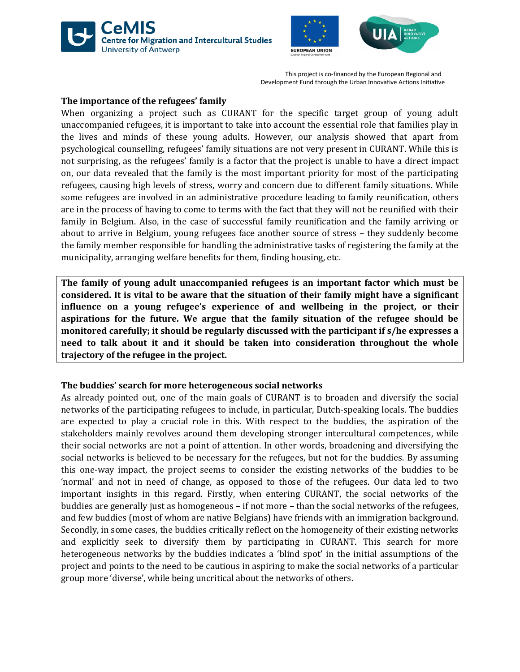





#### **The importance of the refugees' family**

When organizing a project such as CURANT for the specific target group of young adult unaccompanied refugees, it is important to take into account the essential role that families play in the lives and minds of these young adults. However, our analysis showed that apart from psychological counselling, refugees' family situations are not very present in CURANT. While this is not surprising, as the refugees' family is a factor that the project is unable to have a direct impact on, our data revealed that the family is the most important priority for most of the participating refugees, causing high levels of stress, worry and concern due to different family situations. While some refugees are involved in an administrative procedure leading to family reunification, others are in the process of having to come to terms with the fact that they will not be reunified with their family in Belgium. Also, in the case of successful family reunification and the family arriving or about to arrive in Belgium, young refugees face another source of stress – they suddenly become the family member responsible for handling the administrative tasks of registering the family at the municipality, arranging welfare benefits for them, finding housing, etc.

**The family of young adult unaccompanied refugees is an important factor which must be considered. It is vital to be aware that the situation of their family might have a significant influence on a young refugee's experience of and wellbeing in the project, or their aspirations for the future. We argue that the family situation of the refugee should be monitored carefully; it should be regularly discussed with the participant if s/he expresses a need to talk about it and it should be taken into consideration throughout the whole trajectory of the refugee in the project.** 

#### **The buddies' search for more heterogeneous social networks**

As already pointed out, one of the main goals of CURANT is to broaden and diversify the social networks of the participating refugees to include, in particular, Dutch-speaking locals. The buddies are expected to play a crucial role in this. With respect to the buddies, the aspiration of the stakeholders mainly revolves around them developing stronger intercultural competences, while their social networks are not a point of attention. In other words, broadening and diversifying the social networks is believed to be necessary for the refugees, but not for the buddies. By assuming this one-way impact, the project seems to consider the existing networks of the buddies to be 'normal' and not in need of change, as opposed to those of the refugees. Our data led to two important insights in this regard. Firstly, when entering CURANT, the social networks of the buddies are generally just as homogeneous – if not more – than the social networks of the refugees, and few buddies (most of whom are native Belgians) have friends with an immigration background. Secondly, in some cases, the buddies critically reflect on the homogeneity of their existing networks and explicitly seek to diversify them by participating in CURANT. This search for more heterogeneous networks by the buddies indicates a 'blind spot' in the initial assumptions of the project and points to the need to be cautious in aspiring to make the social networks of a particular group more 'diverse', while being uncritical about the networks of others.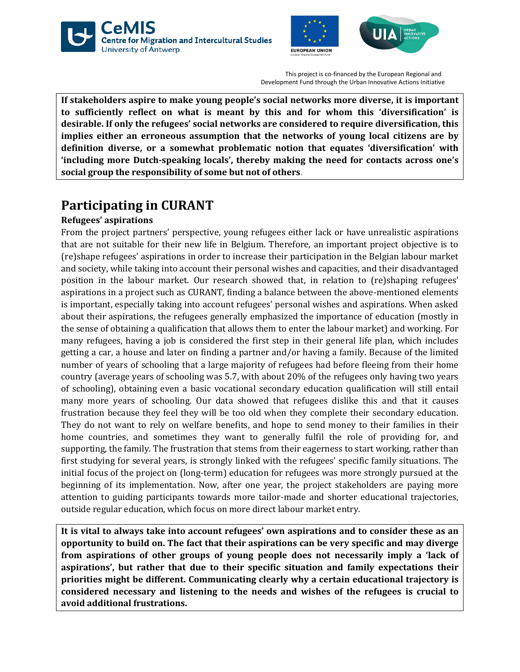





**If stakeholders aspire to make young people's social networks more diverse, it is important to sufficiently reflect on what is meant by this and for whom this 'diversification' is desirable. If only the refugees' social networks are considered to require diversification, this implies either an erroneous assumption that the networks of young local citizens are by definition diverse, or a somewhat problematic notion that equates 'diversification' with 'including more Dutch-speaking locals', thereby making the need for contacts across one's social group the responsibility of some but not of others**.

# **Participating in CURANT**

#### **Refugees' aspirations**

From the project partners' perspective, young refugees either lack or have unrealistic aspirations that are not suitable for their new life in Belgium. Therefore, an important project objective is to (re)shape refugees' aspirations in order to increase their participation in the Belgian labour market and society, while taking into account their personal wishes and capacities, and their disadvantaged position in the labour market. Our research showed that, in relation to (re)shaping refugees' aspirations in a project such as CURANT, finding a balance between the above-mentioned elements is important, especially taking into account refugees' personal wishes and aspirations. When asked about their aspirations, the refugees generally emphasized the importance of education (mostly in the sense of obtaining a qualification that allows them to enter the labour market) and working. For many refugees, having a job is considered the first step in their general life plan, which includes getting a car, a house and later on finding a partner and/or having a family. Because of the limited number of years of schooling that a large majority of refugees had before fleeing from their home country (average years of schooling was 5.7, with about 20% of the refugees only having two years of schooling), obtaining even a basic vocational secondary education qualification will still entail many more years of schooling. Our data showed that refugees dislike this and that it causes frustration because they feel they will be too old when they complete their secondary education. They do not want to rely on welfare benefits, and hope to send money to their families in their home countries, and sometimes they want to generally fulfil the role of providing for, and supporting, the family. The frustration that stems from their eagerness to start working, rather than first studying for several years, is strongly linked with the refugees' specific family situations. The initial focus of the project on (long-term) education for refugees was more strongly pursued at the beginning of its implementation. Now, after one year, the project stakeholders are paying more attention to guiding participants towards more tailor-made and shorter educational trajectories, outside regular education, which focus on more direct labour market entry.

**It is vital to always take into account refugees' own aspirations and to consider these as an opportunity to build on. The fact that their aspirations can be very specific and may diverge from aspirations of other groups of young people does not necessarily imply a 'lack of aspirations', but rather that due to their specific situation and family expectations their priorities might be different. Communicating clearly why a certain educational trajectory is considered necessary and listening to the needs and wishes of the refugees is crucial to avoid additional frustrations.**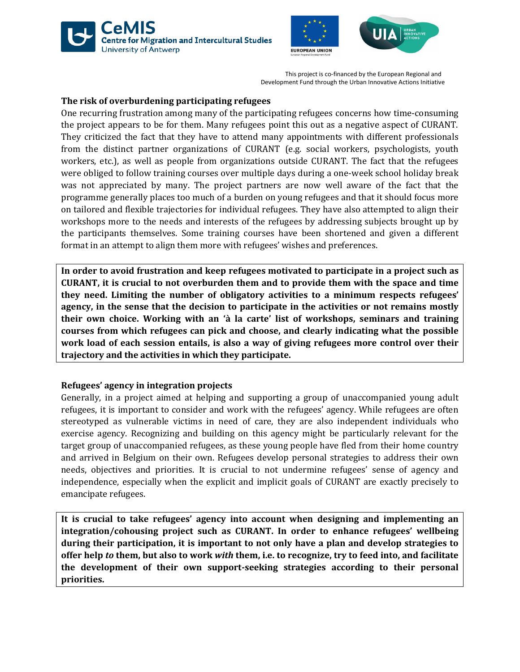





#### **The risk of overburdening participating refugees**

One recurring frustration among many of the participating refugees concerns how time-consuming the project appears to be for them. Many refugees point this out as a negative aspect of CURANT. They criticized the fact that they have to attend many appointments with different professionals from the distinct partner organizations of CURANT (e.g. social workers, psychologists, youth workers, etc.), as well as people from organizations outside CURANT. The fact that the refugees were obliged to follow training courses over multiple days during a one-week school holiday break was not appreciated by many. The project partners are now well aware of the fact that the programme generally places too much of a burden on young refugees and that it should focus more on tailored and flexible trajectories for individual refugees. They have also attempted to align their workshops more to the needs and interests of the refugees by addressing subjects brought up by the participants themselves. Some training courses have been shortened and given a different format in an attempt to align them more with refugees' wishes and preferences.

**In order to avoid frustration and keep refugees motivated to participate in a project such as CURANT, it is crucial to not overburden them and to provide them with the space and time they need. Limiting the number of obligatory activities to a minimum respects refugees' agency, in the sense that the decision to participate in the activities or not remains mostly their own choice. Working with an 'à la carte' list of workshops, seminars and training courses from which refugees can pick and choose, and clearly indicating what the possible work load of each session entails, is also a way of giving refugees more control over their trajectory and the activities in which they participate.** 

#### **Refugees' agency in integration projects**

Generally, in a project aimed at helping and supporting a group of unaccompanied young adult refugees, it is important to consider and work with the refugees' agency. While refugees are often stereotyped as vulnerable victims in need of care, they are also independent individuals who exercise agency. Recognizing and building on this agency might be particularly relevant for the target group of unaccompanied refugees, as these young people have fled from their home country and arrived in Belgium on their own. Refugees develop personal strategies to address their own needs, objectives and priorities. It is crucial to not undermine refugees' sense of agency and independence, especially when the explicit and implicit goals of CURANT are exactly precisely to emancipate refugees.

**It is crucial to take refugees' agency into account when designing and implementing an integration/cohousing project such as CURANT. In order to enhance refugees' wellbeing during their participation, it is important to not only have a plan and develop strategies to offer help** *to* **them, but also to work** *with* **them, i.e. to recognize, try to feed into, and facilitate the development of their own support-seeking strategies according to their personal priorities.**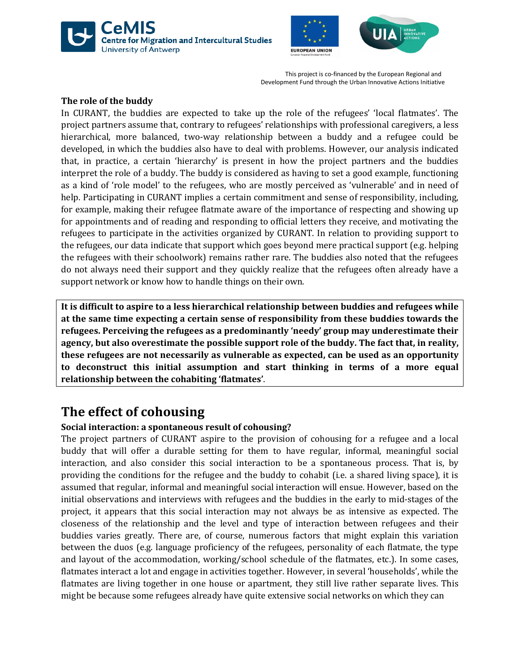





#### **The role of the buddy**

In CURANT, the buddies are expected to take up the role of the refugees' 'local flatmates'. The project partners assume that, contrary to refugees' relationships with professional caregivers, a less hierarchical, more balanced, two-way relationship between a buddy and a refugee could be developed, in which the buddies also have to deal with problems. However, our analysis indicated that, in practice, a certain 'hierarchy' is present in how the project partners and the buddies interpret the role of a buddy. The buddy is considered as having to set a good example, functioning as a kind of 'role model' to the refugees, who are mostly perceived as 'vulnerable' and in need of help. Participating in CURANT implies a certain commitment and sense of responsibility, including, for example, making their refugee flatmate aware of the importance of respecting and showing up for appointments and of reading and responding to official letters they receive, and motivating the refugees to participate in the activities organized by CURANT. In relation to providing support to the refugees, our data indicate that support which goes beyond mere practical support (e.g. helping the refugees with their schoolwork) remains rather rare. The buddies also noted that the refugees do not always need their support and they quickly realize that the refugees often already have a support network or know how to handle things on their own.

**It is difficult to aspire to a less hierarchical relationship between buddies and refugees while at the same time expecting a certain sense of responsibility from these buddies towards the refugees. Perceiving the refugees as a predominantly 'needy' group may underestimate their agency, but also overestimate the possible support role of the buddy. The fact that, in reality, these refugees are not necessarily as vulnerable as expected, can be used as an opportunity to deconstruct this initial assumption and start thinking in terms of a more equal relationship between the cohabiting 'flatmates'**.

### **The effect of cohousing**

#### **Social interaction: a spontaneous result of cohousing?**

The project partners of CURANT aspire to the provision of cohousing for a refugee and a local buddy that will offer a durable setting for them to have regular, informal, meaningful social interaction, and also consider this social interaction to be a spontaneous process. That is, by providing the conditions for the refugee and the buddy to cohabit (i.e. a shared living space), it is assumed that regular, informal and meaningful social interaction will ensue. However, based on the initial observations and interviews with refugees and the buddies in the early to mid-stages of the project, it appears that this social interaction may not always be as intensive as expected. The closeness of the relationship and the level and type of interaction between refugees and their buddies varies greatly. There are, of course, numerous factors that might explain this variation between the duos (e.g. language proficiency of the refugees, personality of each flatmate, the type and layout of the accommodation, working/school schedule of the flatmates, etc.). In some cases, flatmates interact a lot and engage in activities together. However, in several 'households', while the flatmates are living together in one house or apartment, they still live rather separate lives. This might be because some refugees already have quite extensive social networks on which they can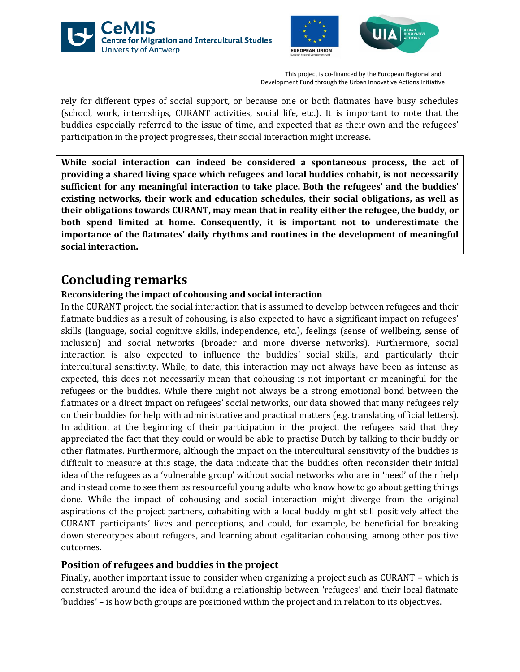





rely for different types of social support, or because one or both flatmates have busy schedules (school, work, internships, CURANT activities, social life, etc.). It is important to note that the buddies especially referred to the issue of time, and expected that as their own and the refugees' participation in the project progresses, their social interaction might increase.

**While social interaction can indeed be considered a spontaneous process, the act of providing a shared living space which refugees and local buddies cohabit, is not necessarily sufficient for any meaningful interaction to take place. Both the refugees' and the buddies' existing networks, their work and education schedules, their social obligations, as well as their obligations towards CURANT, may mean that in reality either the refugee, the buddy, or both spend limited at home. Consequently, it is important not to underestimate the importance of the flatmates' daily rhythms and routines in the development of meaningful social interaction.** 

## **Concluding remarks**

#### **Reconsidering the impact of cohousing and social interaction**

In the CURANT project, the social interaction that is assumed to develop between refugees and their flatmate buddies as a result of cohousing, is also expected to have a significant impact on refugees' skills (language, social cognitive skills, independence, etc.), feelings (sense of wellbeing, sense of inclusion) and social networks (broader and more diverse networks). Furthermore, social interaction is also expected to influence the buddies' social skills, and particularly their intercultural sensitivity. While, to date, this interaction may not always have been as intense as expected, this does not necessarily mean that cohousing is not important or meaningful for the refugees or the buddies. While there might not always be a strong emotional bond between the flatmates or a direct impact on refugees' social networks, our data showed that many refugees rely on their buddies for help with administrative and practical matters (e.g. translating official letters). In addition, at the beginning of their participation in the project, the refugees said that they appreciated the fact that they could or would be able to practise Dutch by talking to their buddy or other flatmates. Furthermore, although the impact on the intercultural sensitivity of the buddies is difficult to measure at this stage, the data indicate that the buddies often reconsider their initial idea of the refugees as a 'vulnerable group' without social networks who are in 'need' of their help and instead come to see them as resourceful young adults who know how to go about getting things done. While the impact of cohousing and social interaction might diverge from the original aspirations of the project partners, cohabiting with a local buddy might still positively affect the CURANT participants' lives and perceptions, and could, for example, be beneficial for breaking down stereotypes about refugees, and learning about egalitarian cohousing, among other positive outcomes.

#### **Position of refugees and buddies in the project**

Finally, another important issue to consider when organizing a project such as CURANT – which is constructed around the idea of building a relationship between 'refugees' and their local flatmate 'buddies' – is how both groups are positioned within the project and in relation to its objectives.